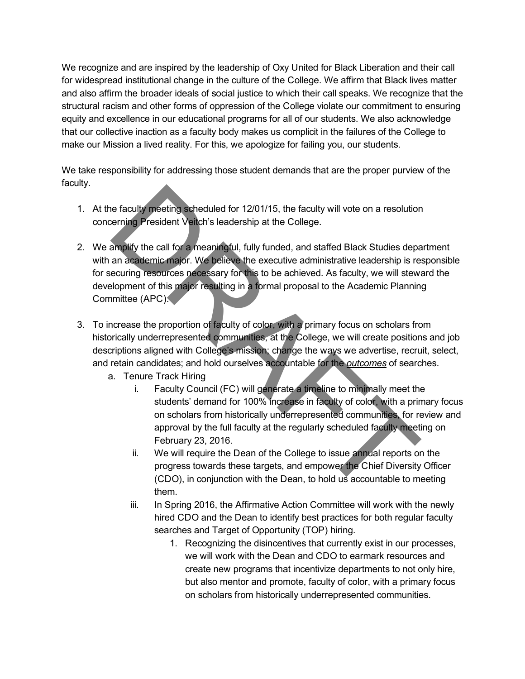We recognize and are inspired by the leadership of Oxy United for Black Liberation and their call for widespread institutional change in the culture of the College. We affirm that Black lives matter and also affirm the broader ideals of social justice to which their call speaks. We recognize that the structural racism and other forms of oppression of the College violate our commitment to ensuring equity and excellence in our educational programs for all of our students. We also acknowledge that our collective inaction as a faculty body makes us complicit in the failures of the College to make our Mission a lived reality. For this, we apologize for failing you, our students.

We take responsibility for addressing those student demands that are the proper purview of the faculty.

- 1. At the faculty meeting scheduled for 12/01/15, the faculty will vote on a resolution concerning President Veitch's leadership at the College.
- 2. We amplify the call for a meaningful, fully funded, and staffed Black Studies department with an academic major. We believe the executive administrative leadership is responsible for securing resources necessary for this to be achieved. As faculty, we will steward the development of this major resulting in a formal proposal to the Academic Planning Committee (APC). The fact of meeting scheduled for 12/01/15, the faculty will vote on a resolution<br>
Serving President Vench's leadership at the College.<br> **APRONG THE CONSECOND** and staffed Black Studies depart<br>
and academic major. We belie
- 3. To increase the proportion of faculty of color, with a primary focus on scholars from historically underrepresented communities, at the College, we will create positions and job descriptions aligned with College's mission; change the ways we advertise, recruit, select, and retain candidates; and hold ourselves accountable for the *outcomes* of searches.
	- a. Tenure Track Hiring
		- i. Faculty Council (FC) will generate a timeline to minimally meet the students' demand for 100% increase in faculty of color, with a primary focus on scholars from historically underrepresented communities, for review and approval by the full faculty at the regularly scheduled faculty meeting on February 23, 2016.
		- ii. We will require the Dean of the College to issue annual reports on the progress towards these targets, and empower the Chief Diversity Officer (CDO), in conjunction with the Dean, to hold us accountable to meeting them.
		- iii. In Spring 2016, the Affirmative Action Committee will work with the newly hired CDO and the Dean to identify best practices for both regular faculty searches and Target of Opportunity (TOP) hiring.
			- 1. Recognizing the disincentives that currently exist in our processes, we will work with the Dean and CDO to earmark resources and create new programs that incentivize departments to not only hire, but also mentor and promote, faculty of color, with a primary focus on scholars from historically underrepresented communities.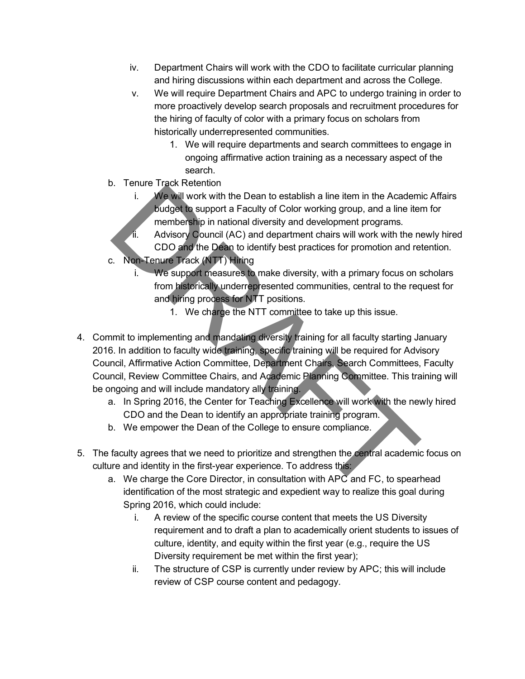- iv. Department Chairs will work with the CDO to facilitate curricular planning and hiring discussions within each department and across the College.
- v. We will require Department Chairs and APC to undergo training in order to more proactively develop search proposals and recruitment procedures for the hiring of faculty of color with a primary focus on scholars from historically underrepresented communities.
	- 1. We will require departments and search committees to engage in ongoing affirmative action training as a necessary aspect of the search.
- b. Tenure Track Retention
	- i. We will work with the Dean to establish a line item in the Academic Affairs budget to support a Faculty of Color working group, and a line item for membership in national diversity and development programs.
	- $\sqrt{\mathbf{i}}$ . Advisory Council (AC) and department chairs will work with the newly hired CDO and the Dean to identify best practices for promotion and retention.
- c. Non-Tenure Track (NTT) Hiring
	- i. We support measures to make diversity, with a primary focus on scholars from historically underrepresented communities, central to the request for and hiring process for NTT positions.
		- 1. We charge the NTT committee to take up this issue.
- 4. Commit to implementing and mandating diversity training for all faculty starting January 2016. In addition to faculty wide training, specific training will be required for Advisory Council, Affirmative Action Committee, Department Chairs, Search Committees, Faculty Council, Review Committee Chairs, and Academic Planning Committee. This training will be ongoing and will include mandatory ally training. i. We will work with the Dean to establish a line item in the Academ<br>
Line We will work with the Dean to establish a line item in the Academ<br>
methership in national diversity and development programs.<br>
Advisory Council (AC
	- a. In Spring 2016, the Center for Teaching Excellence will work with the newly hired CDO and the Dean to identify an appropriate training program.
	- b. We empower the Dean of the College to ensure compliance.
- 5. The faculty agrees that we need to prioritize and strengthen the central academic focus on culture and identity in the first-year experience. To address this:
	- a. We charge the Core Director, in consultation with APC and FC, to spearhead identification of the most strategic and expedient way to realize this goal during Spring 2016, which could include:
		- i. A review of the specific course content that meets the US Diversity requirement and to draft a plan to academically orient students to issues of culture, identity, and equity within the first year (e.g., require the US Diversity requirement be met within the first year);
		- ii. The structure of CSP is currently under review by APC; this will include review of CSP course content and pedagogy.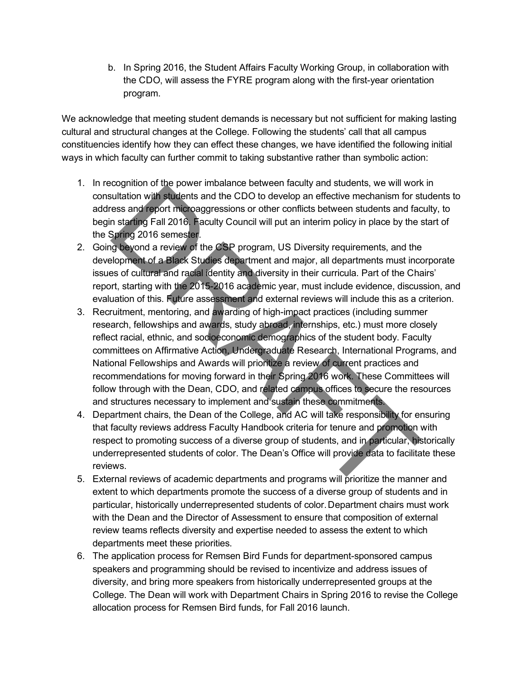b. In Spring 2016, the Student Affairs Faculty Working Group, in collaboration with the CDO, will assess the FYRE program along with the first-year orientation program.

We acknowledge that meeting student demands is necessary but not sufficient for making lasting cultural and structural changes at the College. Following the students' call that all campus constituencies identify how they can effect these changes, we have identified the following initial ways in which faculty can further commit to taking substantive rather than symbolic action:

- 1. In recognition of the power imbalance between faculty and students, we will work in consultation with students and the CDO to develop an effective mechanism for students to address and report microaggressions or other conflicts between students and faculty, to begin starting Fall 2016. Faculty Council will put an interim policy in place by the start of the Spring 2016 semester.
- 2. Going beyond a review of the CSP program, US Diversity requirements, and the development of a Black Studies department and major, all departments must incorporate issues of cultural and racial identity and diversity in their curricula. Part of the Chairs' report, starting with the 2015-2016 academic year, must include evidence, discussion, and evaluation of this. Future assessment and external reviews will include this as a criterion.
- 3. Recruitment, mentoring, and awarding of high-impact practices (including summer research, fellowships and awards, study abroad, internships, etc.) must more closely reflect racial, ethnic, and socioeconomic demographics of the student body. Faculty committees on Affirmative Action, Undergraduate Research, International Programs, and National Fellowships and Awards will prioritize a review of current practices and recommendations for moving forward in their Spring 2016 work. These Committees will follow through with the Dean, CDO, and related campus offices to secure the resources and structures necessary to implement and sustain these commitments. contracts and the CDO to develop an effective mechanism for strates and report in the positive mechanism for stess and report incoaggressions or other conflicts between students and factors and an starting Fall 2016. Facul
- 4. Department chairs, the Dean of the College, and AC will take responsibility for ensuring that faculty reviews address Faculty Handbook criteria for tenure and promotion with respect to promoting success of a diverse group of students, and in particular, historically underrepresented students of color. The Dean's Office will provide data to facilitate these reviews.
- 5. External reviews of academic departments and programs will prioritize the manner and extent to which departments promote the success of a diverse group of students and in particular, historically underrepresented students of color. Department chairs must work with the Dean and the Director of Assessment to ensure that composition of external review teams reflects diversity and expertise needed to assess the extent to which departments meet these priorities.
- 6. The application process for Remsen Bird Funds for department-sponsored campus speakers and programming should be revised to incentivize and address issues of diversity, and bring more speakers from historically underrepresented groups at the College. The Dean will work with Department Chairs in Spring 2016 to revise the College allocation process for Remsen Bird funds, for Fall 2016 launch.